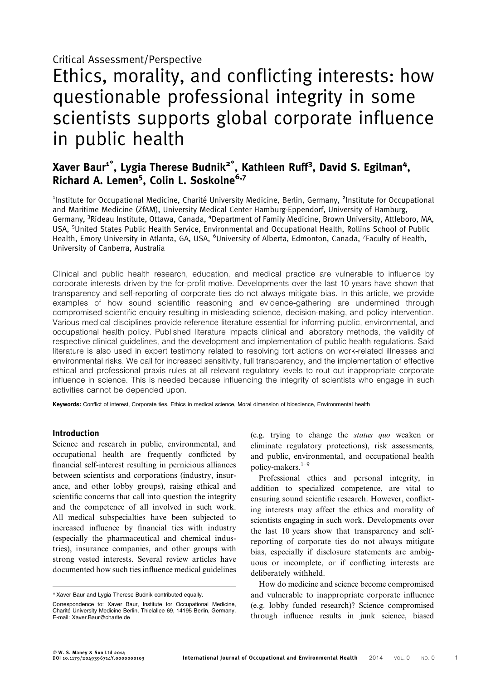# Ethics, morality, and conflicting interests: how questionable professional integrity in some scientists supports global corporate influence in public health

# Xaver Baur $^{\text{1*}}$ , Lygia Therese Budnik $^{\text{2*}}$ , Kathleen Ruff $^{\text{3}}$ , David S. Egilman $^{\text{4}}$ , Richard A. Lemen<sup>5</sup>, Colin L. Soskolne<sup>6,7</sup>

<sup>1</sup>Institute for Occupational Medicine, Charité University Medicine, Berlin, Germany, <sup>2</sup>Institute for Occupational and Maritime Medicine (ZfAM), University Medical Center Hamburg-Eppendorf, University of Hamburg, Germany, <sup>3</sup>Rideau Institute, Ottawa, Canada, <sup>4</sup>Department of Family Medicine, Brown University, Attleboro, MA, USA, <sup>5</sup>United States Public Health Service, Environmental and Occupational Health, Rollins School of Public Health, Emory University in Atlanta, GA, USA, <sup>6</sup>University of Alberta, Edmonton, Canada, <sup>7</sup>Faculty of Health, University of Canberra, Australia

Clinical and public health research, education, and medical practice are vulnerable to influence by corporate interests driven by the for-profit motive. Developments over the last 10 years have shown that transparency and self-reporting of corporate ties do not always mitigate bias. In this article, we provide examples of how sound scientific reasoning and evidence-gathering are undermined through compromised scientific enquiry resulting in misleading science, decision-making, and policy intervention. Various medical disciplines provide reference literature essential for informing public, environmental, and occupational health policy. Published literature impacts clinical and laboratory methods, the validity of respective clinical guidelines, and the development and implementation of public health regulations. Said literature is also used in expert testimony related to resolving tort actions on work-related illnesses and environmental risks. We call for increased sensitivity, full transparency, and the implementation of effective ethical and professional praxis rules at all relevant regulatory levels to rout out inappropriate corporate influence in science. This is needed because influencing the integrity of scientists who engage in such activities cannot be depended upon.

Keywords: Conflict of interest, Corporate ties, Ethics in medical science, Moral dimension of bioscience, Environmental health

## Introduction

Science and research in public, environmental, and occupational health are frequently conflicted by financial self-interest resulting in pernicious alliances between scientists and corporations (industry, insurance, and other lobby groups), raising ethical and scientific concerns that call into question the integrity and the competence of all involved in such work. All medical subspecialties have been subjected to increased influence by financial ties with industry (especially the pharmaceutical and chemical industries), insurance companies, and other groups with strong vested interests. Several review articles have documented how such ties influence medical guidelines (e.g. trying to change the status quo weaken or eliminate regulatory protections), risk assessments, and public, environmental, and occupational health policy-makers.1–9

Professional ethics and personal integrity, in addition to specialized competence, are vital to ensuring sound scientific research. However, conflicting interests may affect the ethics and morality of scientists engaging in such work. Developments over the last 10 years show that transparency and selfreporting of corporate ties do not always mitigate bias, especially if disclosure statements are ambiguous or incomplete, or if conflicting interests are deliberately withheld.

How do medicine and science become compromised and vulnerable to inappropriate corporate influence (e.g. lobby funded research)? Science compromised through influence results in junk science, biased

<sup>\*</sup> Xaver Baur and Lygia Therese Budnik contributed equally.

Correspondence to: Xaver Baur, Institute for Occupational Medicine,<br>Charité University Medicine Berlin, Thielallee 69, 14195 Berlin, Germany. E-mail: Xaver.Baur@charite.de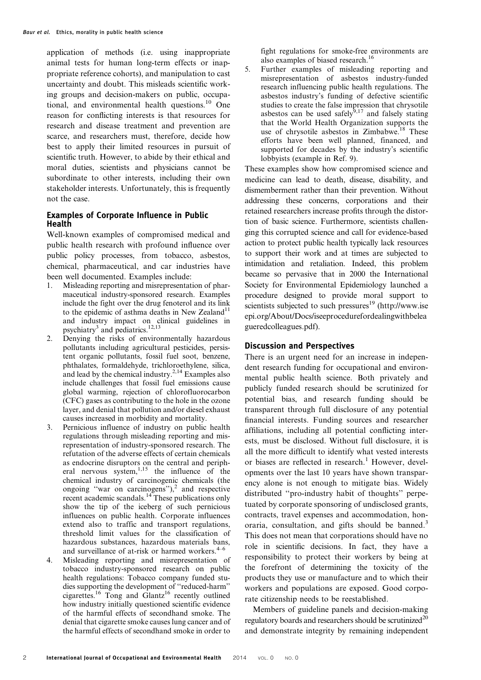application of methods (i.e. using inappropriate animal tests for human long-term effects or inappropriate reference cohorts), and manipulation to cast uncertainty and doubt. This misleads scientific working groups and decision-makers on public, occupational, and environmental health questions. $^{10}$  One reason for conflicting interests is that resources for research and disease treatment and prevention are scarce, and researchers must, therefore, decide how best to apply their limited resources in pursuit of scientific truth. However, to abide by their ethical and moral duties, scientists and physicians cannot be subordinate to other interests, including their own stakeholder interests. Unfortunately, this is frequently not the case.

# Examples of Corporate Influence in Public Health

Well-known examples of compromised medical and public health research with profound influence over public policy processes, from tobacco, asbestos, chemical, pharmaceutical, and car industries have been well documented. Examples include:

- 1. Misleading reporting and misrepresentation of pharmaceutical industry-sponsored research. Examples include the fight over the drug fenoterol and its link to the epidemic of asthma deaths in New Zealand<sup>11</sup> and industry impact on clinical guidelines in psychiatry<sup>3</sup> and pediatrics.<sup>12,13</sup>
- 2. Denying the risks of environmentally hazardous pollutants including agricultural pesticides, persistent organic pollutants, fossil fuel soot, benzene, phthalates, formaldehyde, trichloroethylene, silica, and lead by the chemical industry. $2,14$  Examples also include challenges that fossil fuel emissions cause global warming, rejection of chlorofluorocarbon (CFC) gases as contributing to the hole in the ozone layer, and denial that pollution and/or diesel exhaust causes increased in morbidity and mortality.
- 3. Pernicious influence of industry on public health regulations through misleading reporting and misrepresentation of industry-sponsored research. The refutation of the adverse effects of certain chemicals as endocrine disruptors on the central and peripheral nervous system, $1,15$  the influence of the chemical industry of carcinogenic chemicals (the ongoing "war on carcinogens"), $^2$  and respective recent academic scandals.<sup>14</sup> These publications only show the tip of the iceberg of such pernicious influences on public health. Corporate influences extend also to traffic and transport regulations, threshold limit values for the classification of hazardous substances, hazardous materials bans, and surveillance of at-risk or harmed workers. $4-6$
- 4. Misleading reporting and misrepresentation of tobacco industry-sponsored research on public health regulations: Tobacco company funded studies supporting the development of ''reduced-harm'' cigarettes.<sup>16</sup> Tong and  $\widehat{G}$ lantz<sup>16</sup> recently outlined how industry initially questioned scientific evidence of the harmful effects of secondhand smoke. The denial that cigarette smoke causes lung cancer and of the harmful effects of secondhand smoke in order to

fight regulations for smoke-free environments are also examples of biased research.16

5. Further examples of misleading reporting and misrepresentation of asbestos industry-funded research influencing public health regulations. The asbestos industry's funding of defective scientific studies to create the false impression that chrysotile asbestos can be used safely $9,17$  and falsely stating that the World Health Organization supports the use of chrysotile asbestos in Zimbabwe.<sup>18</sup> These efforts have been well planned, financed, and supported for decades by the industry's scientific lobbyists (example in Ref. 9).

These examples show how compromised science and medicine can lead to death, disease, disability, and dismemberment rather than their prevention. Without addressing these concerns, corporations and their retained researchers increase profits through the distortion of basic science. Furthermore, scientists challenging this corrupted science and call for evidence-based action to protect public health typically lack resources to support their work and at times are subjected to intimidation and retaliation. Indeed, this problem became so pervasive that in 2000 the International Society for Environmental Epidemiology launched a procedure designed to provide moral support to scientists subjected to such pressures<sup>19</sup> (http://www.ise epi.org/About/Docs/iseeprocedurefordealingwithbelea gueredcolleagues.pdf).

## Discussion and Perspectives

There is an urgent need for an increase in independent research funding for occupational and environmental public health science. Both privately and publicly funded research should be scrutinized for potential bias, and research funding should be transparent through full disclosure of any potential financial interests. Funding sources and researcher affiliations, including all potential conflicting interests, must be disclosed. Without full disclosure, it is all the more difficult to identify what vested interests or biases are reflected in research.<sup>1</sup> However, developments over the last 10 years have shown transparency alone is not enough to mitigate bias. Widely distributed ''pro-industry habit of thoughts'' perpetuated by corporate sponsoring of undisclosed grants, contracts, travel expenses and accommodation, honoraria, consultation, and gifts should be banned.<sup>3</sup> This does not mean that corporations should have no role in scientific decisions. In fact, they have a responsibility to protect their workers by being at the forefront of determining the toxicity of the products they use or manufacture and to which their workers and populations are exposed. Good corporate citizenship needs to be reestablished.

Members of guideline panels and decision-making regulatory boards and researchers should be scrutinized $^{20}$ and demonstrate integrity by remaining independent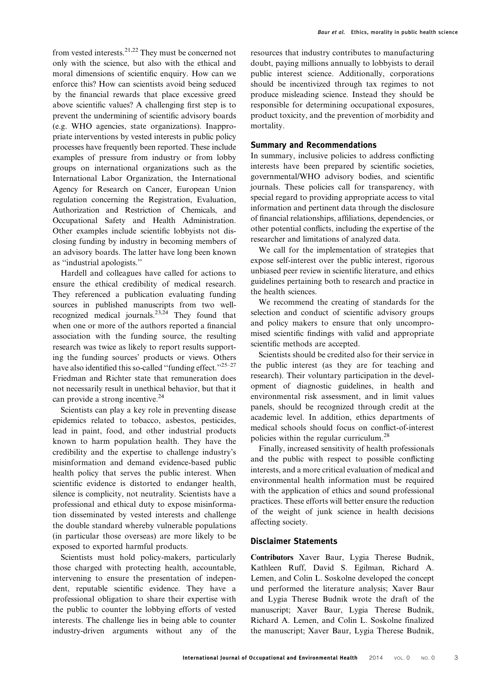from vested interests. $^{21,22}$  They must be concerned not only with the science, but also with the ethical and moral dimensions of scientific enquiry. How can we enforce this? How can scientists avoid being seduced by the financial rewards that place excessive greed above scientific values? A challenging first step is to prevent the undermining of scientific advisory boards (e.g. WHO agencies, state organizations). Inappropriate interventions by vested interests in public policy processes have frequently been reported. These include examples of pressure from industry or from lobby groups on international organizations such as the International Labor Organization, the International Agency for Research on Cancer, European Union regulation concerning the Registration, Evaluation, Authorization and Restriction of Chemicals, and Occupational Safety and Health Administration. Other examples include scientific lobbyists not disclosing funding by industry in becoming members of an advisory boards. The latter have long been known as ''industrial apologists.''

Hardell and colleagues have called for actions to ensure the ethical credibility of medical research. They referenced a publication evaluating funding sources in published manuscripts from two wellrecognized medical journals.<sup>23,24</sup> They found that when one or more of the authors reported a financial association with the funding source, the resulting research was twice as likely to report results supporting the funding sources' products or views. Others have also identified this so-called "funding effect."<sup>25–27</sup> Friedman and Richter state that remuneration does not necessarily result in unethical behavior, but that it can provide a strong incentive. $24$ 

Scientists can play a key role in preventing disease epidemics related to tobacco, asbestos, pesticides, lead in paint, food, and other industrial products known to harm population health. They have the credibility and the expertise to challenge industry's misinformation and demand evidence-based public health policy that serves the public interest. When scientific evidence is distorted to endanger health, silence is complicity, not neutrality. Scientists have a professional and ethical duty to expose misinformation disseminated by vested interests and challenge the double standard whereby vulnerable populations (in particular those overseas) are more likely to be exposed to exported harmful products.

Scientists must hold policy-makers, particularly those charged with protecting health, accountable, intervening to ensure the presentation of independent, reputable scientific evidence. They have a professional obligation to share their expertise with the public to counter the lobbying efforts of vested interests. The challenge lies in being able to counter industry-driven arguments without any of the resources that industry contributes to manufacturing doubt, paying millions annually to lobbyists to derail public interest science. Additionally, corporations should be incentivized through tax regimes to not produce misleading science. Instead they should be responsible for determining occupational exposures, product toxicity, and the prevention of morbidity and mortality.

## Summary and Recommendations

In summary, inclusive policies to address conflicting interests have been prepared by scientific societies, governmental/WHO advisory bodies, and scientific journals. These policies call for transparency, with special regard to providing appropriate access to vital information and pertinent data through the disclosure of financial relationships, affiliations, dependencies, or other potential conflicts, including the expertise of the researcher and limitations of analyzed data.

We call for the implementation of strategies that expose self-interest over the public interest, rigorous unbiased peer review in scientific literature, and ethics guidelines pertaining both to research and practice in the health sciences.

We recommend the creating of standards for the selection and conduct of scientific advisory groups and policy makers to ensure that only uncompromised scientific findings with valid and appropriate scientific methods are accepted.

Scientists should be credited also for their service in the public interest (as they are for teaching and research). Their voluntary participation in the development of diagnostic guidelines, in health and environmental risk assessment, and in limit values panels, should be recognized through credit at the academic level. In addition, ethics departments of medical schools should focus on conflict-of-interest policies within the regular curriculum.<sup>28</sup>

Finally, increased sensitivity of health professionals and the public with respect to possible conflicting interests, and a more critical evaluation of medical and environmental health information must be required with the application of ethics and sound professional practices. These efforts will better ensure the reduction of the weight of junk science in health decisions affecting society.

#### Disclaimer Statements

Contributors Xaver Baur, Lygia Therese Budnik, Kathleen Ruff, David S. Egilman, Richard A. Lemen, and Colin L. Soskolne developed the concept und performed the literature analysis; Xaver Baur and Lygia Therese Budnik wrote the draft of the manuscript; Xaver Baur, Lygia Therese Budnik, Richard A. Lemen, and Colin L. Soskolne finalized the manuscript; Xaver Baur, Lygia Therese Budnik,